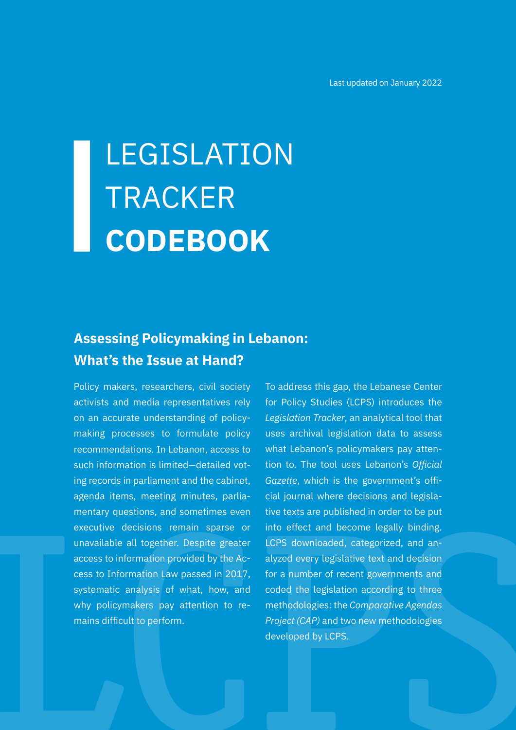# LEGISLATION **TRACKER CODEBOOK**

## **Assessing Policymaking in Lebanon: What's the Issue at Hand?**

Policy makers, researchers, civil society activists and media representatives rely on an accurate understanding of policymaking processes to formulate policy recommendations. In Lebanon, access to such information is limited—detailed voting records in parliament and the cabinet, agenda items, meeting minutes, parliamentary questions, and sometimes even executive decisions remain sparse or unavailable all together. Despite greater access to information provided by the Access to Information Law passed in 2017, systematic analysis of what, how, and why policymakers pay attention to remains difficult to perform.

To address this gap, the Lebanese Center for Policy Studies (LCPS) introduces the *Legislation Tracker*, an analytical tool that uses archival legislation data to assess what Lebanon's policymakers pay attention to. The tool uses Lebanon's *Official Gazette*, which is the government's official journal where decisions and legislative texts are published in order to be put into effect and become legally binding. LCPS downloaded, categorized, and analyzed every legislative text and decision for a number of recent governments and coded the legislation according to three methodologies: the *Comparative Agendas Project (CAP)* and two new methodologies developed by LCPS.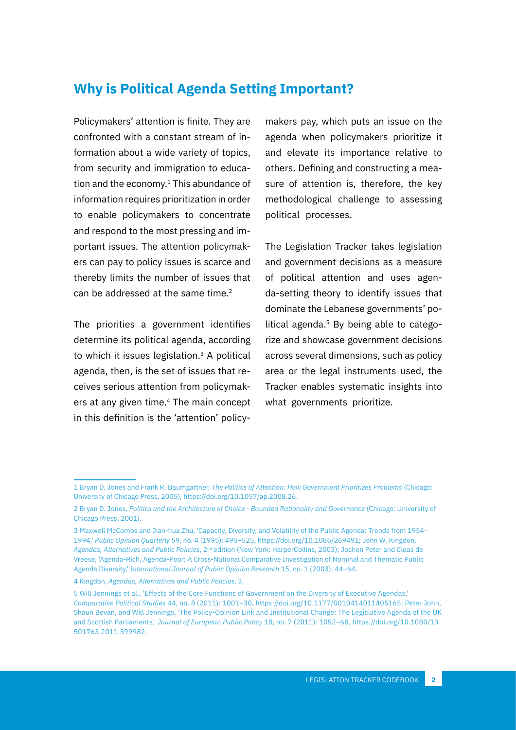## **Why is Political Agenda Setting Important?**

Policymakers' attention is finite. They are confronted with a constant stream of information about a wide variety of topics, from security and immigration to education and the economy.<sup>1</sup> This abundance of information requires prioritization in order to enable policymakers to concentrate and respond to the most pressing and important issues. The attention policymakers can pay to policy issues is scarce and thereby limits the number of issues that can be addressed at the same time.<sup>2</sup>

The priorities a government identifies determine its political agenda, according to which it issues legislation.<sup>3</sup> A political agenda, then, is the set of issues that receives serious attention from policymakers at any given time.4 The main concept in this definition is the 'attention' policy-

makers pay, which puts an issue on the agenda when policymakers prioritize it and elevate its importance relative to others. Defining and constructing a measure of attention is, therefore, the key methodological challenge to assessing political processes.

The Legislation Tracker takes legislation and government decisions as a measure of political attention and uses agenda-setting theory to identify issues that dominate the Lebanese governments' political agenda.<sup>5</sup> By being able to categorize and showcase government decisions across several dimensions, such as policy area or the legal instruments used, the Tracker enables systematic insights into what governments prioritize.

<sup>1</sup> Bryan D. Jones and Frank R. Baumgartner, *The Politics of Attention: How Government Prioritizes Problems* (Chicago: University of Chicago Press, 2005), https://doi.org/10.1057/ap.2008.26.

<sup>2</sup> Bryan D. Jones, *Politics and the Architecture of Choice - Bounded Rationality and Governance* (Chicago: University of Chicago Press, 2001).

<sup>3</sup> Maxwell McCombs and Jian-hua Zhu, 'Capacity, Diversity, and Volatility of the Public Agenda: Trends from 1954- 1994,' *Public Opinion Quarterly* 59, no. 4 (1995): 495–525, https://doi.org/10.1086/269491; John W. Kingdon, *Agendas, Alternatives and Public Policies*, 2nd edition (New York: HarperCollins, 2003); Jochen Peter and Cleas de Vreese, 'Agenda-Rich, Agenda-Poor: A Cross-National Comparative Investigation of Nominal and Thematic Public Agenda Diversity,' *International Journal of Public Opinion Research* 15, no. 1 (2003): 44–64.

<sup>4</sup> Kingdon, *Agendas, Alternatives and Public Policies*, 3.

<sup>5</sup> Will Jennings et al., 'Effects of the Core Functions of Government on the Diversity of Executive Agendas,' *Comparative Political Studies* 44, no. 8 (2011): 1001–30, https://doi.org/10.1177/0010414011405165; Peter John, Shaun Bevan, and Will Jennings, 'The Policy-Opinion Link and Institutional Change: The Legislative Agenda of the UK and Scottish Parliaments,' *Journal of European Public Policy* 18, no. 7 (2011): 1052–68, https://doi.org/10.1080/13 501763.2011.599982.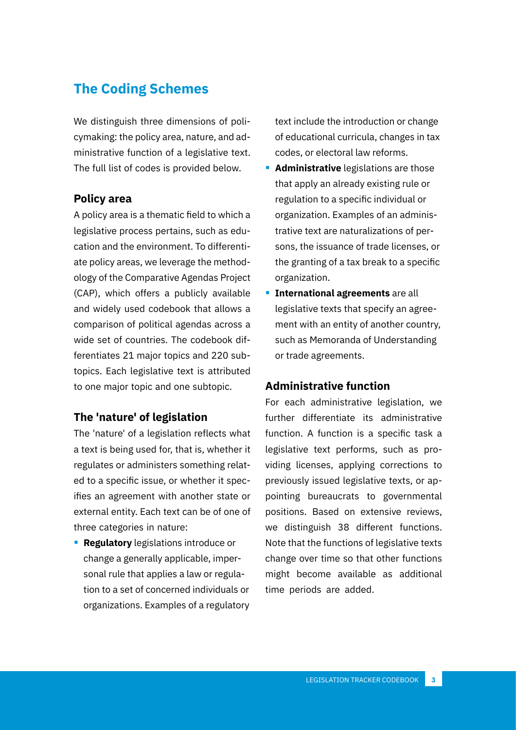## **The Coding Schemes**

We distinguish three dimensions of policymaking: the policy area, nature, and administrative function of a legislative text. The full list of codes is provided below.

#### **Policy area**

A policy area is a thematic field to which a legislative process pertains, such as education and the environment. To differentiate policy areas, we leverage the methodology of the Comparative Agendas Project (CAP), which offers a publicly available and widely used codebook that allows a comparison of political agendas across a wide set of countries. The codebook differentiates 21 major topics and 220 subtopics. Each legislative text is attributed to one major topic and one subtopic.

#### **The 'nature' of legislation**

The 'nature' of a legislation reflects what a text is being used for, that is, whether it regulates or administers something related to a specific issue, or whether it specifies an agreement with another state or external entity. Each text can be of one of three categories in nature:

**Regulatory** legislations introduce or change a generally applicable, impersonal rule that applies a law or regulation to a set of concerned individuals or organizations. Examples of a regulatory text include the introduction or change of educational curricula, changes in tax codes, or electoral law reforms.

- **Administrative** legislations are those that apply an already existing rule or regulation to a specific individual or organization. Examples of an administrative text are naturalizations of persons, the issuance of trade licenses, or the granting of a tax break to a specific organization.
- **International agreements** are all legislative texts that specify an agreement with an entity of another country, such as Memoranda of Understanding or trade agreements.

#### **Administrative function**

For each administrative legislation, we further differentiate its administrative function. A function is a specific task a legislative text performs, such as providing licenses, applying corrections to previously issued legislative texts, or appointing bureaucrats to governmental positions. Based on extensive reviews, we distinguish 38 different functions. Note that the functions of legislative texts change over time so that other functions might become available as additional time periods are added.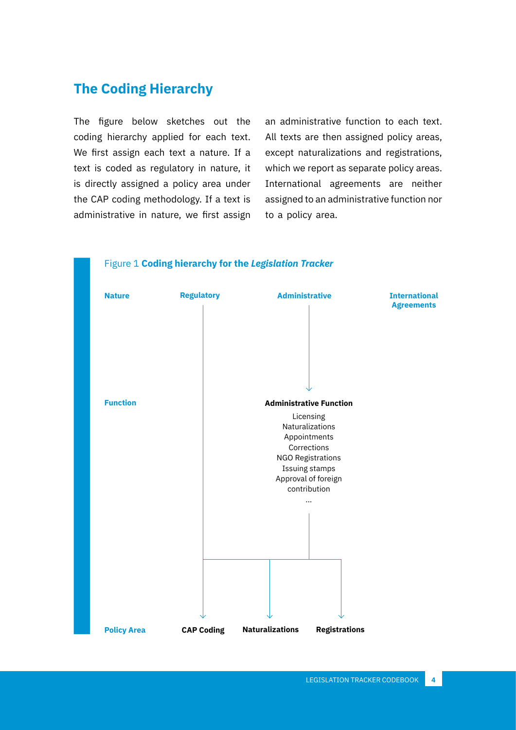## **The Coding Hierarchy**

The figure below sketches out the coding hierarchy applied for each text. We first assign each text a nature. If a text is coded as regulatory in nature, it is directly assigned a policy area under the CAP coding methodology. If a text is administrative in nature, we first assign an administrative function to each text. All texts are then assigned policy areas, except naturalizations and registrations, which we report as separate policy areas. International agreements are neither assigned to an administrative function nor to a policy area.

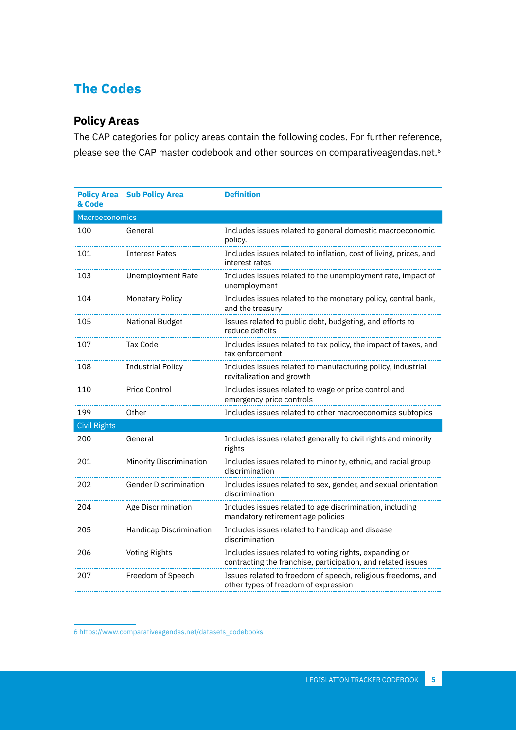## **The Codes**

### **Policy Areas**

The CAP categories for policy areas contain the following codes. For further reference, please see the CAP master codebook and other sources on comparativeagendas.net.<sup>6</sup>

| <b>Policy Area</b><br>& Code | <b>Sub Policy Area</b>       | <b>Definition</b>                                                                                                      |
|------------------------------|------------------------------|------------------------------------------------------------------------------------------------------------------------|
| Macroeconomics               |                              |                                                                                                                        |
| 100                          | General                      | Includes issues related to general domestic macroeconomic<br>policy.                                                   |
| 101                          | <b>Interest Rates</b>        | Includes issues related to inflation, cost of living, prices, and<br>interest rates                                    |
| 103                          | Unemployment Rate            | Includes issues related to the unemployment rate, impact of<br>unemployment                                            |
| 104                          | Monetary Policy              | Includes issues related to the monetary policy, central bank,<br>and the treasury                                      |
| 105                          | <b>National Budget</b>       | Issues related to public debt, budgeting, and efforts to<br>reduce deficits                                            |
| 107                          | <b>Tax Code</b>              | Includes issues related to tax policy, the impact of taxes, and<br>tax enforcement                                     |
| 108                          | <b>Industrial Policy</b>     | Includes issues related to manufacturing policy, industrial<br>revitalization and growth                               |
| 110                          | Price Control                | Includes issues related to wage or price control and<br>emergency price controls                                       |
| 199                          | Other                        | Includes issues related to other macroeconomics subtopics                                                              |
| <b>Civil Rights</b>          |                              |                                                                                                                        |
| 200                          | General                      | Includes issues related generally to civil rights and minority<br>rights                                               |
| 201                          | Minority Discrimination      | Includes issues related to minority, ethnic, and racial group<br>discrimination                                        |
| 202                          | <b>Gender Discrimination</b> | Includes issues related to sex, gender, and sexual orientation<br>discrimination                                       |
| 204                          | Age Discrimination           | Includes issues related to age discrimination, including<br>mandatory retirement age policies                          |
| 205                          | Handicap Discrimination      | Includes issues related to handicap and disease<br>discrimination                                                      |
| 206                          | <b>Voting Rights</b>         | Includes issues related to voting rights, expanding or<br>contracting the franchise, participation, and related issues |
| 207                          | Freedom of Speech            | Issues related to freedom of speech, religious freedoms, and<br>other types of freedom of expression                   |

6 [https://www.comparativeagendas.net/datasets\\_codebooks](https://www.comparativeagendas.net/datasets_codebooks)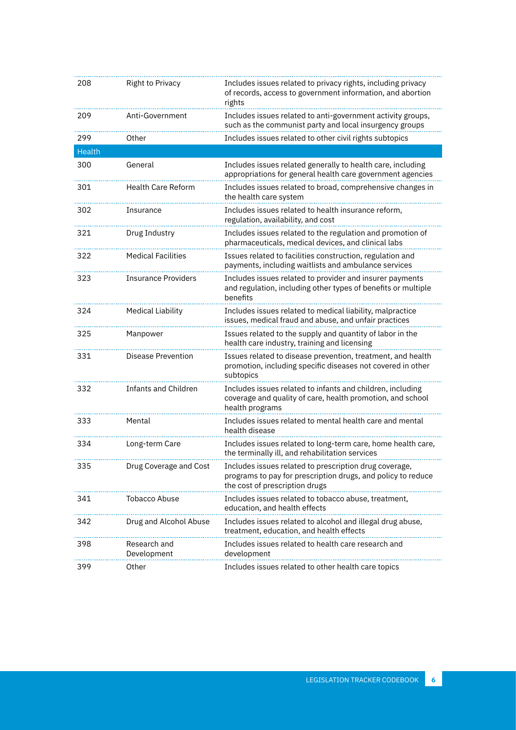| 208           | Right to Privacy            | Includes issues related to privacy rights, including privacy<br>of records, access to government information, and abortion<br>rights                     |
|---------------|-----------------------------|----------------------------------------------------------------------------------------------------------------------------------------------------------|
| 209           | Anti-Government             | Includes issues related to anti-government activity groups,<br>such as the communist party and local insurgency groups                                   |
| 299           | Other                       | Includes issues related to other civil rights subtopics                                                                                                  |
| <b>Health</b> |                             |                                                                                                                                                          |
| 300           | General                     | Includes issues related generally to health care, including<br>appropriations for general health care government agencies                                |
| 301           | <b>Health Care Reform</b>   | Includes issues related to broad, comprehensive changes in<br>the health care system                                                                     |
| 302           | Insurance                   | Includes issues related to health insurance reform,<br>regulation, availability, and cost                                                                |
| 321           | Drug Industry               | Includes issues related to the regulation and promotion of<br>pharmaceuticals, medical devices, and clinical labs                                        |
| 322           | <b>Medical Facilities</b>   | Issues related to facilities construction, regulation and<br>payments, including waitlists and ambulance services                                        |
| 323           | <b>Insurance Providers</b>  | Includes issues related to provider and insurer payments<br>and regulation, including other types of benefits or multiple<br>benefits                    |
| 324           | <b>Medical Liability</b>    | Includes issues related to medical liability, malpractice<br>issues, medical fraud and abuse, and unfair practices                                       |
| 325           | Manpower                    | Issues related to the supply and quantity of labor in the<br>health care industry, training and licensing                                                |
| 331           | <b>Disease Prevention</b>   | Issues related to disease prevention, treatment, and health<br>promotion, including specific diseases not covered in other<br>subtopics                  |
| 332           | <b>Infants and Children</b> | Includes issues related to infants and children, including<br>coverage and quality of care, health promotion, and school<br>health programs              |
| 333           | Mental                      | Includes issues related to mental health care and mental<br>health disease                                                                               |
| 334           | Long-term Care              | Includes issues related to long-term care, home health care,<br>the terminally ill, and rehabilitation services                                          |
| 335           | Drug Coverage and Cost      | Includes issues related to prescription drug coverage,<br>programs to pay for prescription drugs, and policy to reduce<br>the cost of prescription drugs |
| 341           | <b>Tobacco Abuse</b>        | Includes issues related to tobacco abuse, treatment,<br>education, and health effects                                                                    |
| 342           | Drug and Alcohol Abuse      | Includes issues related to alcohol and illegal drug abuse,<br>treatment, education, and health effects                                                   |
| 398           | Research and<br>Development | Includes issues related to health care research and<br>development                                                                                       |
| 399           | Other                       | Includes issues related to other health care topics                                                                                                      |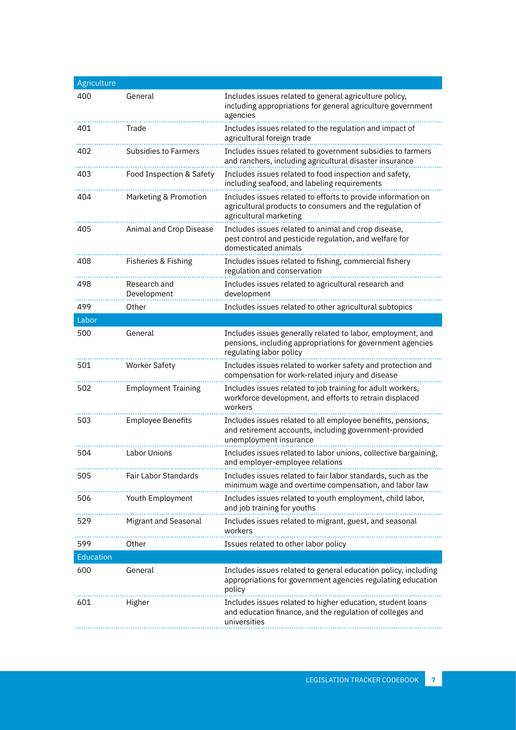| Agriculture |                             |                                                                                                                                                      |
|-------------|-----------------------------|------------------------------------------------------------------------------------------------------------------------------------------------------|
| 400         | General                     | Includes issues related to general agriculture policy,<br>including appropriations for general agriculture government<br>agencies                    |
| 401         | Trade                       | Includes issues related to the regulation and impact of<br>agricultural foreign trade                                                                |
| 402         | <b>Subsidies to Farmers</b> | Includes issues related to government subsidies to farmers<br>and ranchers, including agricultural disaster insurance                                |
| 403         | Food Inspection & Safety    | Includes issues related to food inspection and safety,<br>including seafood, and labeling requirements                                               |
| 404         | Marketing & Promotion       | Includes issues related to efforts to provide information on<br>agricultural products to consumers and the regulation of<br>agricultural marketing   |
| 405         | Animal and Crop Disease     | Includes issues related to animal and crop disease,<br>pest control and pesticide regulation, and welfare for<br>domesticated animals                |
| 408         | Fisheries & Fishing         | Includes issues related to fishing, commercial fishery<br>regulation and conservation                                                                |
| 498         | Research and<br>Development | Includes issues related to agricultural research and<br>development                                                                                  |
| 499         | Other                       | Includes issues related to other agricultural subtopics                                                                                              |
| Labor       |                             |                                                                                                                                                      |
| 500         | General                     | Includes issues generally related to labor, employment, and<br>pensions, including appropriations for government agencies<br>regulating labor policy |
| 501         | <b>Worker Safety</b>        | Includes issues related to worker safety and protection and<br>compensation for work-related injury and disease                                      |
| 502         | <b>Employment Training</b>  | Includes issues related to job training for adult workers,<br>workforce development, and efforts to retrain displaced<br>workers                     |
| 503         | <b>Employee Benefits</b>    | Includes issues related to all employee benefits, pensions,<br>and retirement accounts, including government-provided<br>unemployment insurance      |
| 504         | <b>Labor Unions</b>         | Includes issues related to labor unions, collective bargaining,<br>and employer-employee relations                                                   |
| 505         | Fair Labor Standards        | Includes issues related to fair labor standards, such as the<br>minimum wage and overtime compensation, and labor law                                |
| 506         | Youth Employment            | Includes issues related to youth employment, child labor,<br>and job training for youths                                                             |
| 529         | Migrant and Seasonal        | Includes issues related to migrant, guest, and seasonal<br>workers                                                                                   |
| 599         | Other                       | Issues related to other labor policy                                                                                                                 |
| Education   |                             |                                                                                                                                                      |
| 600         | General                     | Includes issues related to general education policy, including<br>appropriations for government agencies regulating education<br>policy              |
| 601         | Higher                      | Includes issues related to higher education, student loans<br>and education finance, and the regulation of colleges and<br>universities              |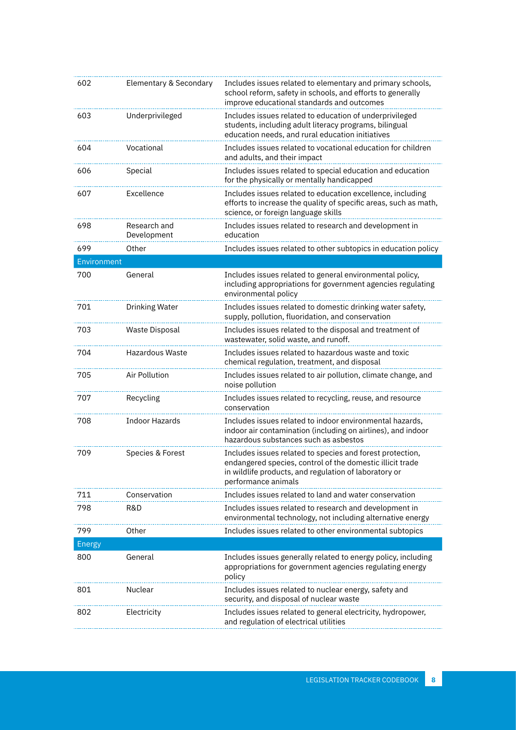| 602           | Elementary & Secondary      | Includes issues related to elementary and primary schools,<br>school reform, safety in schools, and efforts to generally<br>improve educational standards and outcomes                                 |
|---------------|-----------------------------|--------------------------------------------------------------------------------------------------------------------------------------------------------------------------------------------------------|
| 603           | Underprivileged             | Includes issues related to education of underprivileged<br>students, including adult literacy programs, bilingual<br>education needs, and rural education initiatives                                  |
| 604           | Vocational                  | Includes issues related to vocational education for children<br>and adults, and their impact                                                                                                           |
| 606           | Special                     | Includes issues related to special education and education<br>for the physically or mentally handicapped                                                                                               |
| 607           | Excellence                  | Includes issues related to education excellence, including<br>efforts to increase the quality of specific areas, such as math,<br>science, or foreign language skills                                  |
| 698           | Research and<br>Development | Includes issues related to research and development in<br>education                                                                                                                                    |
| 699           | Other                       | Includes issues related to other subtopics in education policy                                                                                                                                         |
| Environment   |                             |                                                                                                                                                                                                        |
| 700           | General                     | Includes issues related to general environmental policy,<br>including appropriations for government agencies regulating<br>environmental policy                                                        |
| 701           | Drinking Water              | Includes issues related to domestic drinking water safety,<br>supply, pollution, fluoridation, and conservation                                                                                        |
| 703           | Waste Disposal              | Includes issues related to the disposal and treatment of<br>wastewater, solid waste, and runoff.                                                                                                       |
| 704           | Hazardous Waste             | Includes issues related to hazardous waste and toxic<br>chemical regulation, treatment, and disposal                                                                                                   |
| 705           | Air Pollution               | Includes issues related to air pollution, climate change, and<br>noise pollution                                                                                                                       |
| 707           | Recycling                   | Includes issues related to recycling, reuse, and resource<br>conservation                                                                                                                              |
| 708           | <b>Indoor Hazards</b>       | Includes issues related to indoor environmental hazards,<br>indoor air contamination (including on airlines), and indoor<br>hazardous substances such as asbestos                                      |
| 709           | Species & Forest            | Includes issues related to species and forest protection,<br>endangered species, control of the domestic illicit trade<br>in wildlife products, and regulation of laboratory or<br>performance animals |
| 711           | Conservation                | Includes issues related to land and water conservation                                                                                                                                                 |
| 798           | R&D                         | Includes issues related to research and development in<br>environmental technology, not including alternative energy                                                                                   |
| 799           | Other                       | Includes issues related to other environmental subtopics                                                                                                                                               |
| <b>Energy</b> |                             |                                                                                                                                                                                                        |
| 800           | General                     | Includes issues generally related to energy policy, including<br>appropriations for government agencies regulating energy<br>policy                                                                    |
| 801           | Nuclear                     | Includes issues related to nuclear energy, safety and<br>security, and disposal of nuclear waste                                                                                                       |
| 802           | Electricity                 | Includes issues related to general electricity, hydropower,<br>and regulation of electrical utilities                                                                                                  |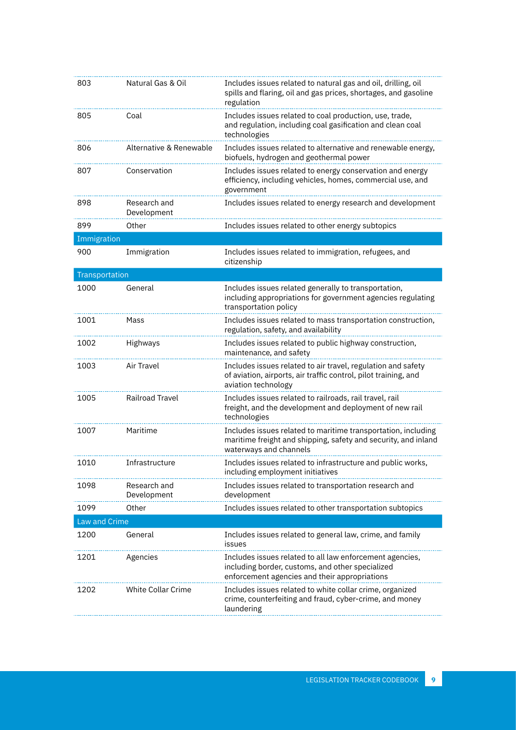| 803            | Natural Gas & Oil           | Includes issues related to natural gas and oil, drilling, oil<br>spills and flaring, oil and gas prices, shortages, and gasoline<br>regulation                |
|----------------|-----------------------------|---------------------------------------------------------------------------------------------------------------------------------------------------------------|
| 805            | Coal                        | Includes issues related to coal production, use, trade,<br>and regulation, including coal gasification and clean coal<br>technologies                         |
| 806            | Alternative & Renewable     | Includes issues related to alternative and renewable energy,<br>biofuels, hydrogen and geothermal power                                                       |
| 807            | Conservation                | Includes issues related to energy conservation and energy<br>efficiency, including vehicles, homes, commercial use, and<br>government                         |
| 898            | Research and<br>Development | Includes issues related to energy research and development                                                                                                    |
| 899            | Other                       | Includes issues related to other energy subtopics                                                                                                             |
| Immigration    |                             |                                                                                                                                                               |
| 900            | Immigration                 | Includes issues related to immigration, refugees, and<br>citizenship                                                                                          |
| Transportation |                             |                                                                                                                                                               |
| 1000           | General                     | Includes issues related generally to transportation,<br>including appropriations for government agencies regulating<br>transportation policy                  |
| 1001           | Mass                        | Includes issues related to mass transportation construction,<br>regulation, safety, and availability                                                          |
| 1002           | Highways                    | Includes issues related to public highway construction,<br>maintenance, and safety                                                                            |
| 1003           | Air Travel                  | Includes issues related to air travel, regulation and safety<br>of aviation, airports, air traffic control, pilot training, and<br>aviation technology        |
| 1005           | <b>Railroad Travel</b>      | Includes issues related to railroads, rail travel, rail<br>freight, and the development and deployment of new rail<br>technologies                            |
| 1007           | Maritime                    | Includes issues related to maritime transportation, including<br>maritime freight and shipping, safety and security, and inland<br>waterways and channels     |
| 1010           | Infrastructure              | Includes issues related to infrastructure and public works<br>including employment initiatives                                                                |
| 1098           | Research and<br>Development | Includes issues related to transportation research and<br>development                                                                                         |
| 1099           | Other                       | Includes issues related to other transportation subtopics                                                                                                     |
| Law and Crime  |                             |                                                                                                                                                               |
| 1200           | General                     | Includes issues related to general law, crime, and family<br>issues                                                                                           |
| 1201           | Agencies                    | Includes issues related to all law enforcement agencies,<br>including border, customs, and other specialized<br>enforcement agencies and their appropriations |
| 1202           | White Collar Crime          | Includes issues related to white collar crime, organized<br>crime, counterfeiting and fraud, cyber-crime, and money<br>laundering                             |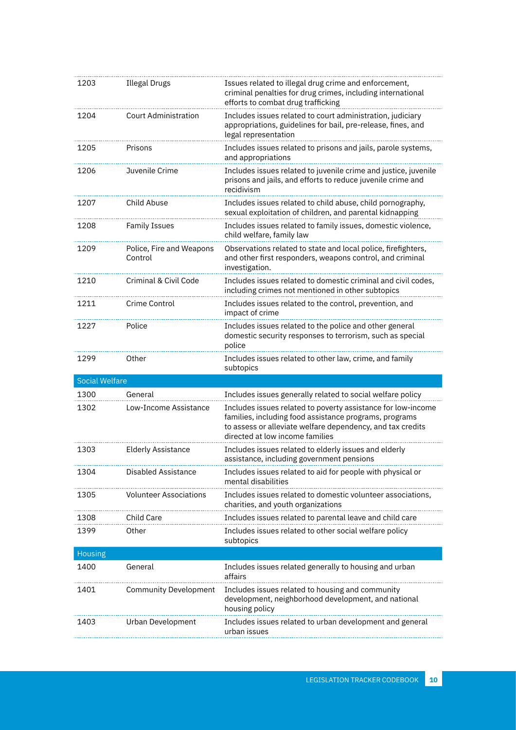| 1203                  | <b>Illegal Drugs</b>                | Issues related to illegal drug crime and enforcement,<br>criminal penalties for drug crimes, including international<br>efforts to combat drug trafficking                                                              |
|-----------------------|-------------------------------------|-------------------------------------------------------------------------------------------------------------------------------------------------------------------------------------------------------------------------|
| 1204                  | <b>Court Administration</b>         | Includes issues related to court administration, judiciary<br>appropriations, guidelines for bail, pre-release, fines, and<br>legal representation                                                                      |
| 1205                  | Prisons                             | Includes issues related to prisons and jails, parole systems,<br>and appropriations                                                                                                                                     |
| 1206                  | Juvenile Crime                      | Includes issues related to juvenile crime and justice, juvenile<br>prisons and jails, and efforts to reduce juvenile crime and<br>recidivism                                                                            |
| 1207                  | Child Abuse                         | Includes issues related to child abuse, child pornography,<br>sexual exploitation of children, and parental kidnapping                                                                                                  |
| 1208                  | <b>Family Issues</b>                | Includes issues related to family issues, domestic violence,<br>child welfare, family law                                                                                                                               |
| 1209                  | Police, Fire and Weapons<br>Control | Observations related to state and local police, firefighters,<br>and other first responders, weapons control, and criminal<br>investigation.                                                                            |
| 1210                  | Criminal & Civil Code               | Includes issues related to domestic criminal and civil codes,<br>including crimes not mentioned in other subtopics                                                                                                      |
| 1211                  | Crime Control                       | Includes issues related to the control, prevention, and<br>impact of crime                                                                                                                                              |
| 1227                  | Police                              | Includes issues related to the police and other general<br>domestic security responses to terrorism, such as special<br>police                                                                                          |
| 1299                  | Other                               | Includes issues related to other law, crime, and family<br>subtopics                                                                                                                                                    |
|                       |                                     |                                                                                                                                                                                                                         |
| <b>Social Welfare</b> |                                     |                                                                                                                                                                                                                         |
| 1300                  | General                             | Includes issues generally related to social welfare policy                                                                                                                                                              |
| 1302                  | Low-Income Assistance               | Includes issues related to poverty assistance for low-income<br>families, including food assistance programs, programs<br>to assess or alleviate welfare dependency, and tax credits<br>directed at low income families |
| 1303                  | <b>Elderly Assistance</b>           | Includes issues related to elderly issues and elderly<br>assistance, including government pensions                                                                                                                      |
| 1304                  | <b>Disabled Assistance</b>          | Includes issues related to aid for people with physical or<br>mental disabilities                                                                                                                                       |
| 1305                  | <b>Volunteer Associations</b>       | Includes issues related to domestic volunteer associations,<br>charities, and youth organizations                                                                                                                       |
| 1308                  | Child Care                          | Includes issues related to parental leave and child care                                                                                                                                                                |
| 1399                  | Other                               | Includes issues related to other social welfare policy<br>subtopics                                                                                                                                                     |
| <b>Housing</b>        |                                     |                                                                                                                                                                                                                         |
| 1400                  | General                             | Includes issues related generally to housing and urban<br>affairs                                                                                                                                                       |
| 1401                  | <b>Community Development</b>        | Includes issues related to housing and community<br>development, neighborhood development, and national<br>housing policy                                                                                               |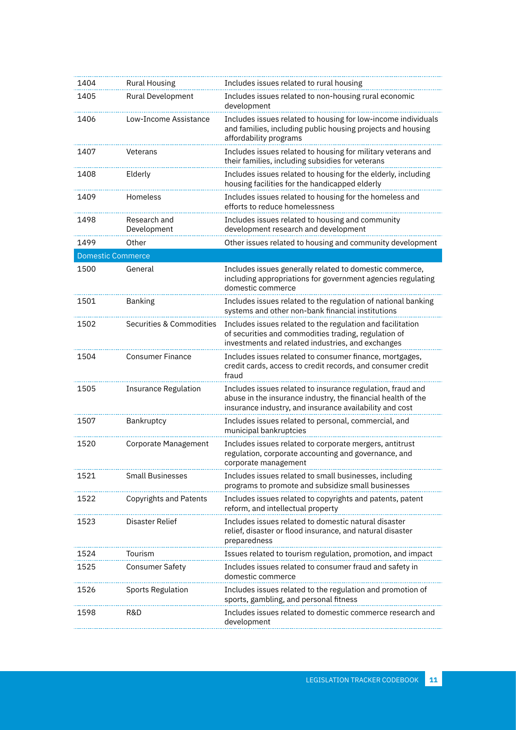| 1404                     | <b>Rural Housing</b>        | Includes issues related to rural housing                                                                                                                                              |
|--------------------------|-----------------------------|---------------------------------------------------------------------------------------------------------------------------------------------------------------------------------------|
| 1405                     | Rural Development           | Includes issues related to non-housing rural economic<br>development                                                                                                                  |
| 1406                     | Low-Income Assistance       | Includes issues related to housing for low-income individuals<br>and families, including public housing projects and housing<br>affordability programs                                |
| 1407                     | Veterans                    | Includes issues related to housing for military veterans and<br>their families, including subsidies for veterans                                                                      |
| 1408                     | Elderly                     | Includes issues related to housing for the elderly, including<br>housing facilities for the handicapped elderly                                                                       |
| 1409                     | Homeless                    | Includes issues related to housing for the homeless and<br>efforts to reduce homelessness                                                                                             |
| 1498                     | Research and<br>Development | Includes issues related to housing and community<br>development research and development                                                                                              |
| 1499                     | Other                       | Other issues related to housing and community development                                                                                                                             |
| <b>Domestic Commerce</b> |                             |                                                                                                                                                                                       |
| 1500                     | General                     | Includes issues generally related to domestic commerce,<br>including appropriations for government agencies regulating<br>domestic commerce                                           |
| 1501                     | Banking                     | Includes issues related to the regulation of national banking<br>systems and other non-bank financial institutions                                                                    |
| 1502                     | Securities & Commodities    | Includes issues related to the regulation and facilitation<br>of securities and commodities trading, regulation of<br>investments and related industries, and exchanges               |
| 1504                     | <b>Consumer Finance</b>     | Includes issues related to consumer finance, mortgages,<br>credit cards, access to credit records, and consumer credit<br>fraud                                                       |
| 1505                     | <b>Insurance Regulation</b> | Includes issues related to insurance regulation, fraud and<br>abuse in the insurance industry, the financial health of the<br>insurance industry, and insurance availability and cost |
| 1507                     | Bankruptcy                  | Includes issues related to personal, commercial, and<br>municipal bankruptcies                                                                                                        |
| 1520                     | Corporate Management        | Includes issues related to corporate mergers, antitrust<br>regulation, corporate accounting and governance, and<br>corporate management                                               |
| 1521                     | <b>Small Businesses</b>     | Includes issues related to small businesses, including<br>programs to promote and subsidize small businesses                                                                          |
| 1522                     | Copyrights and Patents      | Includes issues related to copyrights and patents, patent<br>reform, and intellectual property                                                                                        |
| 1523                     | Disaster Relief             | Includes issues related to domestic natural disaster<br>relief, disaster or flood insurance, and natural disaster<br>preparedness                                                     |
| 1524                     | Tourism                     | Issues related to tourism regulation, promotion, and impact                                                                                                                           |
| 1525                     | <b>Consumer Safety</b>      | Includes issues related to consumer fraud and safety in<br>domestic commerce                                                                                                          |
| 1526                     | Sports Regulation           | Includes issues related to the regulation and promotion of<br>sports, gambling, and personal fitness                                                                                  |
| 1598                     | R&D                         | Includes issues related to domestic commerce research and<br>development                                                                                                              |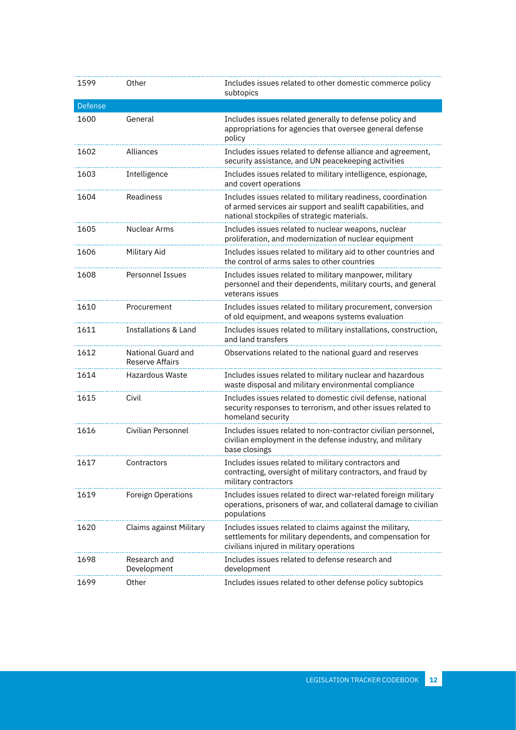| 1599    | Other                                        | Includes issues related to other domestic commerce policy                                                                                                                 |
|---------|----------------------------------------------|---------------------------------------------------------------------------------------------------------------------------------------------------------------------------|
|         |                                              | subtopics                                                                                                                                                                 |
| Defense |                                              |                                                                                                                                                                           |
| 1600    | General                                      | Includes issues related generally to defense policy and<br>appropriations for agencies that oversee general defense<br>policy                                             |
| 1602    | Alliances                                    | Includes issues related to defense alliance and agreement,<br>security assistance, and UN peacekeeping activities                                                         |
| 1603    | Intelligence                                 | Includes issues related to military intelligence, espionage,<br>and covert operations                                                                                     |
| 1604    | Readiness                                    | Includes issues related to military readiness, coordination<br>of armed services air support and sealift capabilities, and<br>national stockpiles of strategic materials. |
| 1605    | Nuclear Arms                                 | Includes issues related to nuclear weapons, nuclear<br>proliferation, and modernization of nuclear equipment                                                              |
| 1606    | Military Aid                                 | Includes issues related to military aid to other countries and<br>the control of arms sales to other countries                                                            |
| 1608    | <b>Personnel Issues</b>                      | Includes issues related to military manpower, military<br>personnel and their dependents, military courts, and general<br>veterans issues                                 |
| 1610    | Procurement                                  | Includes issues related to military procurement, conversion<br>of old equipment, and weapons systems evaluation                                                           |
| 1611    | <b>Installations &amp; Land</b>              | Includes issues related to military installations, construction,<br>and land transfers                                                                                    |
| 1612    | National Guard and<br><b>Reserve Affairs</b> | Observations related to the national guard and reserves                                                                                                                   |
| 1614    | Hazardous Waste                              | Includes issues related to military nuclear and hazardous<br>waste disposal and military environmental compliance                                                         |
| 1615    | Civil                                        | Includes issues related to domestic civil defense, national<br>security responses to terrorism, and other issues related to<br>homeland security                          |
| 1616    | Civilian Personnel                           | Includes issues related to non-contractor civilian personnel,<br>civilian employment in the defense industry, and military<br>base closings                               |
| 1617    | Contractors                                  | Includes issues related to military contractors and<br>contracting, oversight of military contractors, and fraud by<br>military contractors                               |
| 1619    | Foreign Operations                           | Includes issues related to direct war-related foreign military<br>operations, prisoners of war, and collateral damage to civilian<br>populations                          |
| 1620    | Claims against Military                      | Includes issues related to claims against the military,<br>settlements for military dependents, and compensation for<br>civilians injured in military operations          |
| 1698    | Research and<br>Development                  | Includes issues related to defense research and<br>development                                                                                                            |
| 1699    | Other                                        | Includes issues related to other defense policy subtopics                                                                                                                 |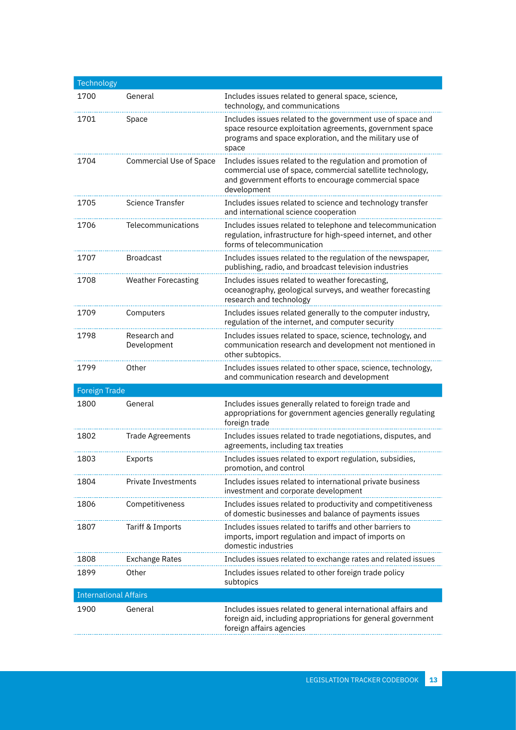| Technology                   |                                |                                                                                                                                                                                                |
|------------------------------|--------------------------------|------------------------------------------------------------------------------------------------------------------------------------------------------------------------------------------------|
| 1700                         | General                        | Includes issues related to general space, science,<br>technology, and communications                                                                                                           |
| 1701                         | Space                          | Includes issues related to the government use of space and<br>space resource exploitation agreements, government space<br>programs and space exploration, and the military use of<br>space     |
| 1704                         | <b>Commercial Use of Space</b> | Includes issues related to the regulation and promotion of<br>commercial use of space, commercial satellite technology,<br>and government efforts to encourage commercial space<br>development |
| 1705                         | <b>Science Transfer</b>        | Includes issues related to science and technology transfer<br>and international science cooperation                                                                                            |
| 1706                         | Telecommunications             | Includes issues related to telephone and telecommunication<br>regulation, infrastructure for high-speed internet, and other<br>forms of telecommunication                                      |
| 1707                         | <b>Broadcast</b>               | Includes issues related to the regulation of the newspaper,<br>publishing, radio, and broadcast television industries                                                                          |
| 1708                         | <b>Weather Forecasting</b>     | Includes issues related to weather forecasting,<br>oceanography, geological surveys, and weather forecasting<br>research and technology                                                        |
| 1709                         | Computers                      | Includes issues related generally to the computer industry,<br>regulation of the internet, and computer security                                                                               |
| 1798                         | Research and<br>Development    | Includes issues related to space, science, technology, and<br>communication research and development not mentioned in<br>other subtopics.                                                      |
| 1799                         | Other                          | Includes issues related to other space, science, technology,<br>and communication research and development                                                                                     |
| <b>Foreign Trade</b>         |                                |                                                                                                                                                                                                |
| 1800                         | General                        | Includes issues generally related to foreign trade and<br>appropriations for government agencies generally regulating<br>foreign trade                                                         |
| 1802                         | <b>Trade Agreements</b>        | Includes issues related to trade negotiations, disputes, and<br>agreements, including tax treaties                                                                                             |
| 1803                         | Exports                        | Includes issues related to export regulation, subsidies,<br>promotion, and control                                                                                                             |
| 1804                         | <b>Private Investments</b>     | Includes issues related to international private business<br>investment and corporate development                                                                                              |
| 1806                         | Competitiveness                | Includes issues related to productivity and competitiveness<br>of domestic businesses and balance of payments issues                                                                           |
| 1807                         | Tariff & Imports               | Includes issues related to tariffs and other barriers to<br>imports, import regulation and impact of imports on<br>domestic industries                                                         |
| 1808                         | <b>Exchange Rates</b>          | Includes issues related to exchange rates and related issues                                                                                                                                   |
| 1899                         | Other                          | Includes issues related to other foreign trade policy<br>subtopics                                                                                                                             |
| <b>International Affairs</b> |                                |                                                                                                                                                                                                |
| 1900                         | General                        | Includes issues related to general international affairs and<br>foreign aid, including appropriations for general government<br>foreign affairs agencies                                       |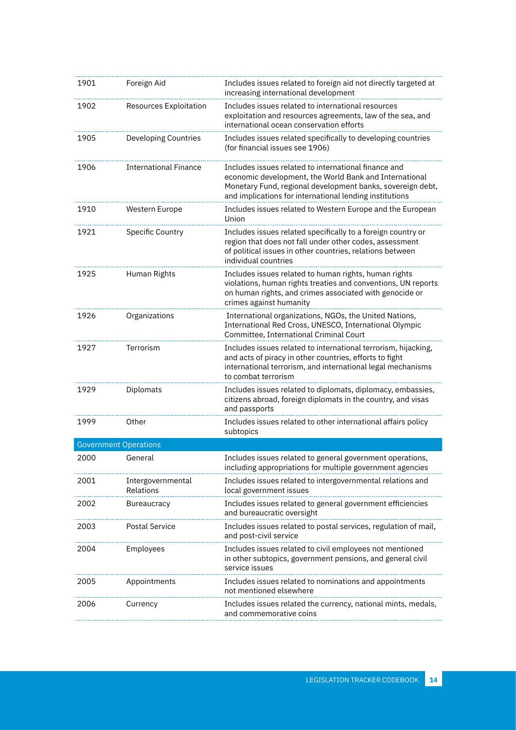| 1901                         | Foreign Aid                    | Includes issues related to foreign aid not directly targeted at<br>increasing international development                                                                                                                                 |
|------------------------------|--------------------------------|-----------------------------------------------------------------------------------------------------------------------------------------------------------------------------------------------------------------------------------------|
| 1902                         | Resources Exploitation         | Includes issues related to international resources<br>exploitation and resources agreements, law of the sea, and<br>international ocean conservation efforts                                                                            |
| 1905                         | <b>Developing Countries</b>    | Includes issues related specifically to developing countries<br>(for financial issues see 1906)                                                                                                                                         |
| 1906                         | <b>International Finance</b>   | Includes issues related to international finance and<br>economic development, the World Bank and International<br>Monetary Fund, regional development banks, sovereign debt,<br>and implications for international lending institutions |
| 1910                         | Western Europe                 | Includes issues related to Western Europe and the European<br>Union                                                                                                                                                                     |
| 1921                         | Specific Country               | Includes issues related specifically to a foreign country or<br>region that does not fall under other codes, assessment<br>of political issues in other countries, relations between<br>individual countries                            |
| 1925                         | Human Rights                   | Includes issues related to human rights, human rights<br>violations, human rights treaties and conventions, UN reports<br>on human rights, and crimes associated with genocide or<br>crimes against humanity                            |
| 1926                         | Organizations                  | International organizations, NGOs, the United Nations,<br>International Red Cross, UNESCO, International Olympic<br>Committee, International Criminal Court                                                                             |
| 1927                         | Terrorism                      | Includes issues related to international terrorism, hijacking,<br>and acts of piracy in other countries, efforts to fight<br>international terrorism, and international legal mechanisms<br>to combat terrorism                         |
| 1929                         | Diplomats                      | Includes issues related to diplomats, diplomacy, embassies,<br>citizens abroad, foreign diplomats in the country, and visas<br>and passports                                                                                            |
| 1999                         | Other                          | Includes issues related to other international affairs policy<br>subtopics                                                                                                                                                              |
| <b>Government Operations</b> |                                |                                                                                                                                                                                                                                         |
| 2000                         | General                        | Includes issues related to general government operations,<br>including appropriations for multiple government agencies                                                                                                                  |
| 2001                         | Intergovernmental<br>Relations | Includes issues related to intergovernmental relations and<br>local government issues                                                                                                                                                   |
| 2002                         | <b>Bureaucracy</b>             | Includes issues related to general government efficiencies<br>and bureaucratic oversight                                                                                                                                                |
| 2003                         | <b>Postal Service</b>          | Includes issues related to postal services, regulation of mail,<br>and post-civil service                                                                                                                                               |
| 2004                         | Employees                      | Includes issues related to civil employees not mentioned<br>in other subtopics, government pensions, and general civil<br>service issues                                                                                                |
| 2005                         | Appointments                   | Includes issues related to nominations and appointments<br>not mentioned elsewhere                                                                                                                                                      |
| 2006                         | Currency                       | Includes issues related the currency, national mints, medals,<br>and commemorative coins                                                                                                                                                |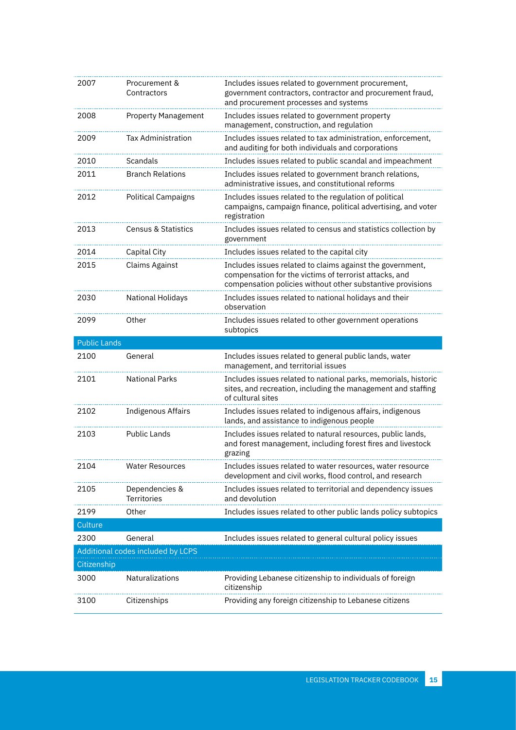| 2007                |                                      |                                                                                                                                                                                   |
|---------------------|--------------------------------------|-----------------------------------------------------------------------------------------------------------------------------------------------------------------------------------|
|                     | Procurement &<br>Contractors         | Includes issues related to government procurement,<br>government contractors, contractor and procurement fraud,<br>and procurement processes and systems                          |
| 2008                | <b>Property Management</b>           | Includes issues related to government property<br>management, construction, and regulation                                                                                        |
| 2009                | <b>Tax Administration</b>            | Includes issues related to tax administration, enforcement,<br>and auditing for both individuals and corporations                                                                 |
| 2010                | Scandals                             | Includes issues related to public scandal and impeachment                                                                                                                         |
| 2011                | <b>Branch Relations</b>              | Includes issues related to government branch relations,<br>administrative issues, and constitutional reforms                                                                      |
| 2012                | <b>Political Campaigns</b>           | Includes issues related to the regulation of political<br>campaigns, campaign finance, political advertising, and voter<br>registration                                           |
| 2013                | <b>Census &amp; Statistics</b>       | Includes issues related to census and statistics collection by<br>government                                                                                                      |
| 2014                | Capital City                         | Includes issues related to the capital city                                                                                                                                       |
| 2015                | <b>Claims Against</b>                | Includes issues related to claims against the government,<br>compensation for the victims of terrorist attacks, and<br>compensation policies without other substantive provisions |
| 2030                | <b>National Holidays</b>             | Includes issues related to national holidays and their<br>observation                                                                                                             |
| 2099                | Other                                | Includes issues related to other government operations<br>subtopics                                                                                                               |
| <b>Public Lands</b> |                                      |                                                                                                                                                                                   |
| 2100                | General                              | Includes issues related to general public lands, water                                                                                                                            |
|                     |                                      | management, and territorial issues                                                                                                                                                |
| 2101                | <b>National Parks</b>                | Includes issues related to national parks, memorials, historic<br>sites, and recreation, including the management and staffing<br>of cultural sites                               |
| 2102                | <b>Indigenous Affairs</b>            | Includes issues related to indigenous affairs, indigenous<br>lands, and assistance to indigenous people                                                                           |
| 2103                | <b>Public Lands</b>                  | Includes issues related to natural resources, public lands,<br>and forest management, including forest fires and livestock<br>grazing                                             |
| 2104                | Water Resources                      | Includes issues related to water resources, water resource<br>development and civil works, flood control, and research                                                            |
| 2105                | Dependencies &<br><b>Territories</b> | Includes issues related to territorial and dependency issues<br>and devolution                                                                                                    |
| 2199                | Other                                | Includes issues related to other public lands policy subtopics                                                                                                                    |
| Culture             |                                      |                                                                                                                                                                                   |
| 2300                | General                              | Includes issues related to general cultural policy issues                                                                                                                         |
|                     | Additional codes included by LCPS    |                                                                                                                                                                                   |
| Citizenship         |                                      |                                                                                                                                                                                   |
| 3000                | Naturalizations                      | Providing Lebanese citizenship to individuals of foreign<br>citizenship                                                                                                           |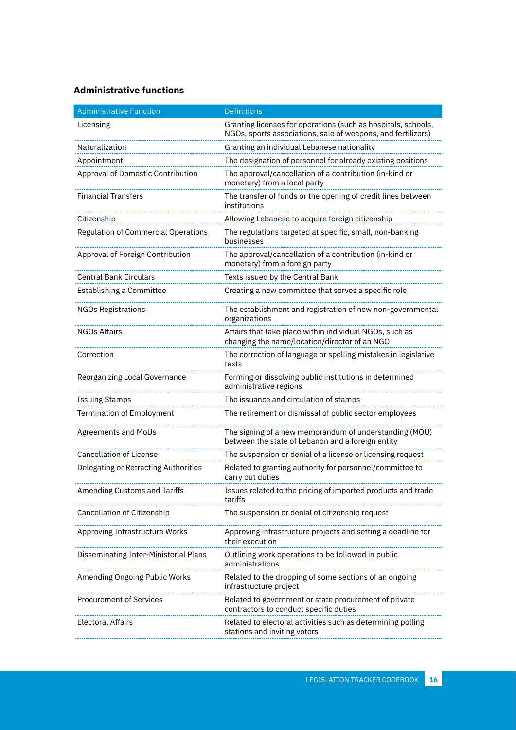#### **Administrative functions**

| <b>Administrative Function</b>        | <b>Definitions</b>                                                                                                            |
|---------------------------------------|-------------------------------------------------------------------------------------------------------------------------------|
| Licensing                             | Granting licenses for operations (such as hospitals, schools,<br>NGOs, sports associations, sale of weapons, and fertilizers) |
| Naturalization                        | Granting an individual Lebanese nationality                                                                                   |
| Appointment                           | The designation of personnel for already existing positions                                                                   |
| Approval of Domestic Contribution     | The approval/cancellation of a contribution (in-kind or<br>monetary) from a local party                                       |
| Financial Transfers                   | The transfer of funds or the opening of credit lines between<br>institutions                                                  |
| Citizenship                           | Allowing Lebanese to acquire foreign citizenship                                                                              |
| Regulation of Commercial Operations   | The regulations targeted at specific, small, non-banking<br>businesses                                                        |
| Approval of Foreign Contribution      | The approval/cancellation of a contribution (in-kind or<br>monetary) from a foreign party                                     |
| <b>Central Bank Circulars</b>         | Texts issued by the Central Bank                                                                                              |
| Establishing a Committee              | Creating a new committee that serves a specific role                                                                          |
| <b>NGOs Registrations</b>             | The establishment and registration of new non-governmental<br>organizations                                                   |
| <b>NGOs Affairs</b>                   | Affairs that take place within individual NGOs, such as<br>changing the name/location/director of an NGO                      |
| Correction                            | The correction of language or spelling mistakes in legislative<br>texts                                                       |
| Reorganizing Local Governance         | Forming or dissolving public institutions in determined<br>administrative regions                                             |
| <b>Issuing Stamps</b>                 | The issuance and circulation of stamps                                                                                        |
| Termination of Employment             | The retirement or dismissal of public sector employees                                                                        |
| Agreements and MoUs                   | The signing of a new memorandum of understanding (MOU)<br>between the state of Lebanon and a foreign entity                   |
| <b>Cancellation of License</b>        | The suspension or denial of a license or licensing request                                                                    |
| Delegating or Retracting Authorities  | Related to granting authority for personnel/committee to<br>carry out duties                                                  |
| Amending Customs and Tariffs          | Issues related to the pricing of imported products and trade<br>tariffs                                                       |
| Cancellation of Citizenship           | The suspension or denial of citizenship request                                                                               |
| Approving Infrastructure Works        | Approving infrastructure projects and setting a deadline for<br>their execution                                               |
| Disseminating Inter-Ministerial Plans | Outlining work operations to be followed in public<br>administrations                                                         |
| Amending Ongoing Public Works         | Related to the dropping of some sections of an ongoing<br>infrastructure project                                              |
| <b>Procurement of Services</b>        | Related to government or state procurement of private<br>contractors to conduct specific duties                               |
| <b>Electoral Affairs</b>              | Related to electoral activities such as determining polling<br>stations and inviting voters                                   |